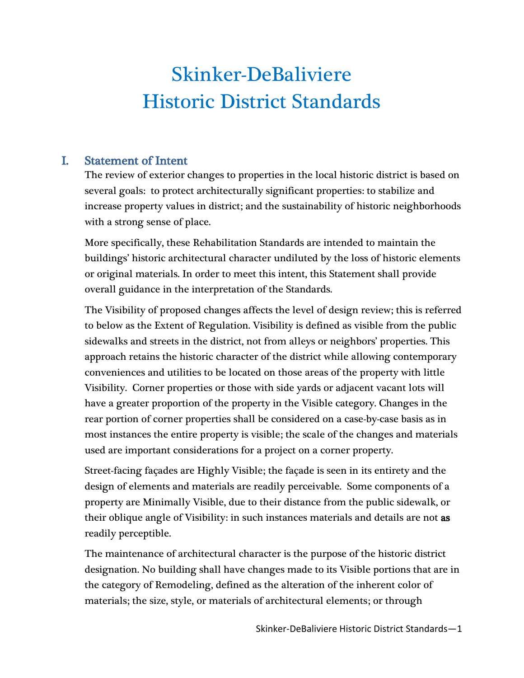# Skinker-DeBaliviere Historic District Standards

# I. Statement of Intent

The review of exterior changes to properties in the local historic district is based on several goals: to protect architecturally significant properties: to stabilize and increase property values in district; and the sustainability of historic neighborhoods with a strong sense of place.

More specifically, these Rehabilitation Standards are intended to maintain the buildings' historic architectural character undiluted by the loss of historic elements or original materials. In order to meet this intent, this Statement shall provide overall guidance in the interpretation of the Standards.

The Visibility of proposed changes affects the level of design review; this is referred to below as the Extent of Regulation. Visibility is defined as visible from the public sidewalks and streets in the district, not from alleys or neighbors' properties. This approach retains the historic character of the district while allowing contemporary conveniences and utilities to be located on those areas of the property with little Visibility. Corner properties or those with side yards or adjacent vacant lots will have a greater proportion of the property in the Visible category. Changes in the rear portion of corner properties shall be considered on a case-by-case basis as in most instances the entire property is visible; the scale of the changes and materials used are important considerations for a project on a corner property.

Street-facing façades are Highly Visible; the façade is seen in its entirety and the design of elements and materials are readily perceivable. Some components of a property are Minimally Visible, due to their distance from the public sidewalk, or their oblique angle of Visibility: in such instances materials and details are not as readily perceptible.

The maintenance of architectural character is the purpose of the historic district designation. No building shall have changes made to its Visible portions that are in the category of Remodeling, defined as the alteration of the inherent color of materials; the size, style, or materials of architectural elements; or through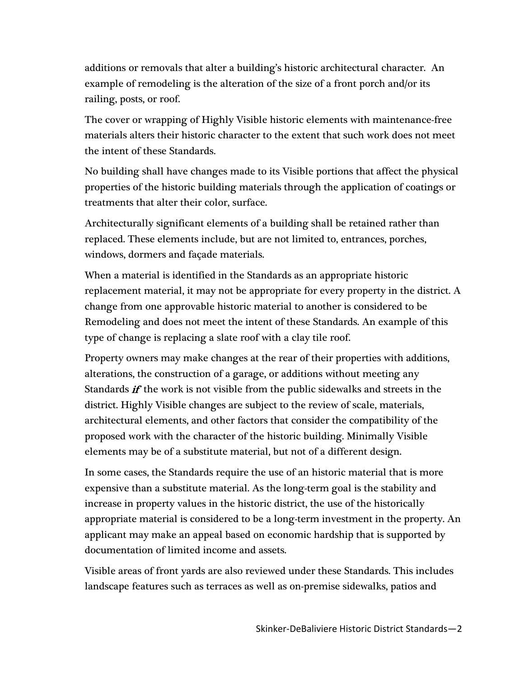additions or removals that alter a building's historic architectural character. An example of remodeling is the alteration of the size of a front porch and/or its railing, posts, or roof.

The cover or wrapping of Highly Visible historic elements with maintenance-free materials alters their historic character to the extent that such work does not meet the intent of these Standards.

No building shall have changes made to its Visible portions that affect the physical properties of the historic building materials through the application of coatings or treatments that alter their color, surface.

Architecturally significant elements of a building shall be retained rather than replaced. These elements include, but are not limited to, entrances, porches, windows, dormers and façade materials.

When a material is identified in the Standards as an appropriate historic replacement material, it may not be appropriate for every property in the district. A change from one approvable historic material to another is considered to be Remodeling and does not meet the intent of these Standards. An example of this type of change is replacing a slate roof with a clay tile roof.

Property owners may make changes at the rear of their properties with additions, alterations, the construction of a garage, or additions without meeting any Standards if the work is not visible from the public sidewalks and streets in the district. Highly Visible changes are subject to the review of scale, materials, architectural elements, and other factors that consider the compatibility of the proposed work with the character of the historic building. Minimally Visible elements may be of a substitute material, but not of a different design.

In some cases, the Standards require the use of an historic material that is more expensive than a substitute material. As the long-term goal is the stability and increase in property values in the historic district, the use of the historically appropriate material is considered to be a long-term investment in the property. An applicant may make an appeal based on economic hardship that is supported by documentation of limited income and assets.

Visible areas of front yards are also reviewed under these Standards. This includes landscape features such as terraces as well as on-premise sidewalks, patios and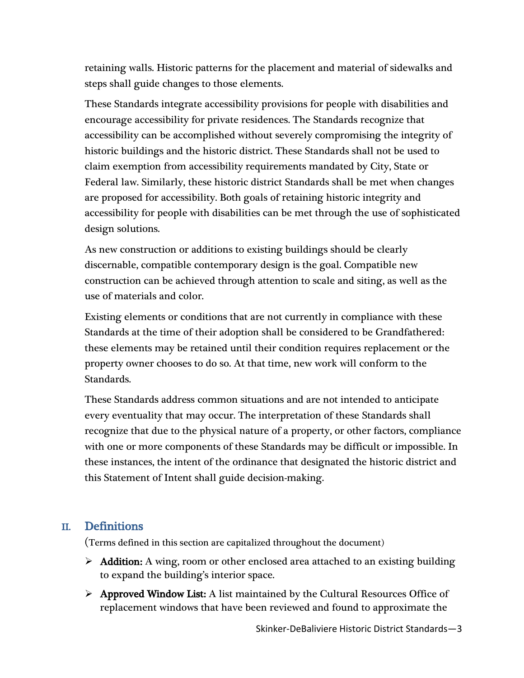retaining walls. Historic patterns for the placement and material of sidewalks and steps shall guide changes to those elements.

These Standards integrate accessibility provisions for people with disabilities and encourage accessibility for private residences. The Standards recognize that accessibility can be accomplished without severely compromising the integrity of historic buildings and the historic district. These Standards shall not be used to claim exemption from accessibility requirements mandated by City, State or Federal law. Similarly, these historic district Standards shall be met when changes are proposed for accessibility. Both goals of retaining historic integrity and accessibility for people with disabilities can be met through the use of sophisticated design solutions.

As new construction or additions to existing buildings should be clearly discernable, compatible contemporary design is the goal. Compatible new construction can be achieved through attention to scale and siting, as well as the use of materials and color.

Existing elements or conditions that are not currently in compliance with these Standards at the time of their adoption shall be considered to be Grandfathered: these elements may be retained until their condition requires replacement or the property owner chooses to do so. At that time, new work will conform to the Standards.

These Standards address common situations and are not intended to anticipate every eventuality that may occur. The interpretation of these Standards shall recognize that due to the physical nature of a property, or other factors, compliance with one or more components of these Standards may be difficult or impossible. In these instances, the intent of the ordinance that designated the historic district and this Statement of Intent shall guide decision-making.

# II. Definitions

(Terms defined in this section are capitalized throughout the document)

- $\triangleright$  **Addition:** A wing, room or other enclosed area attached to an existing building to expand the building's interior space.
- $\triangleright$  Approved Window List: A list maintained by the Cultural Resources Office of replacement windows that have been reviewed and found to approximate the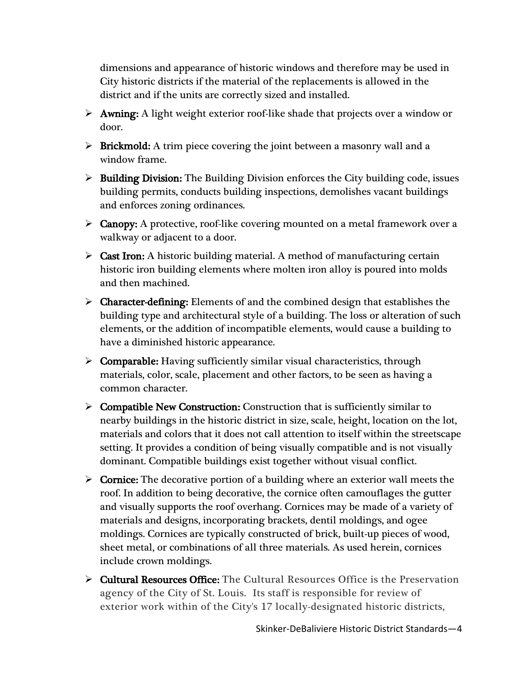dimensions and appearance of historic windows and therefore may be used in City historic districts if the material of the replacements is allowed in the district and if the units are correctly sized and installed.

- $\triangleright$  **Awning:** A light weight exterior roof-like shade that projects over a window or door.
- $\triangleright$  Brickmold: A trim piece covering the joint between a masonry wall and a window frame.
- $\triangleright$  Building Division: The Building Division enforces the City building code, issues building permits, conducts building inspections, demolishes vacant buildings and enforces zoning ordinances.
- $\triangleright$  Canopy: A protective, roof-like covering mounted on a metal framework over a walkway or adjacent to a door.
- $\triangleright$  Cast Iron: A historic building material. A method of manufacturing certain historic iron building elements where molten iron alloy is poured into molds and then machined.
- $\triangleright$  Character-defining: Elements of and the combined design that establishes the building type and architectural style of a building. The loss or alteration of such elements, or the addition of incompatible elements, would cause a building to have a diminished historic appearance.
- $\triangleright$  Comparable: Having sufficiently similar visual characteristics, through materials, color, scale, placement and other factors, to be seen as having a common character.
- $\triangleright$  Compatible New Construction: Construction that is sufficiently similar to nearby buildings in the historic district in size, scale, height, location on the lot, materials and colors that it does not call attention to itself within the streetscape setting. It provides a condition of being visually compatible and is not visually dominant. Compatible buildings exist together without visual conflict.
- $\triangleright$  Cornice: The decorative portion of a building where an exterior wall meets the roof. In addition to being decorative, the cornice often camouflages the gutter and visually supports the roof overhang. Cornices may be made of a variety of materials and designs, incorporating brackets, dentil moldings, and ogee moldings. Cornices are typically constructed of brick, built-up pieces of wood, sheet metal, or combinations of all three materials. As used herein, cornices include crown moldings.
- **Eultural Resources Office:** The Cultural Resources Office is the Preservation agency of the City of St. Louis. Its staff is responsible for review of exterior work within of the City's 17 locally-designated historic districts,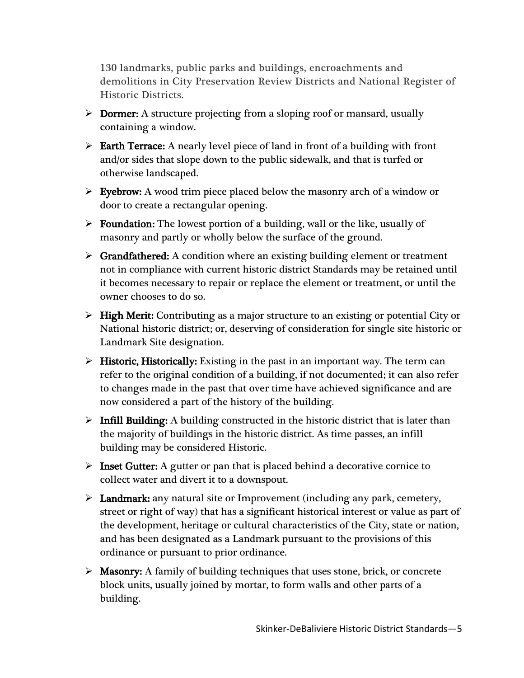130 landmarks, public parks and buildings, encroachments and demolitions in City Preservation Review Districts and National Register of Historic Districts.

- $\triangleright$  Dormer: A structure projecting from a sloping roof or mansard, usually containing a window.
- $\triangleright$  Earth Terrace: A nearly level piece of land in front of a building with front and/or sides that slope down to the public sidewalk, and that is turfed or otherwise landscaped.
- $\triangleright$  Eyebrow: A wood trim piece placed below the masonry arch of a window or door to create a rectangular opening.
- $\triangleright$  Foundation: The lowest portion of a building, wall or the like, usually of masonry and partly or wholly below the surface of the ground.
- $\triangleright$  Grandfathered: A condition where an existing building element or treatment not in compliance with current historic district Standards may be retained until it becomes necessary to repair or replace the element or treatment, or until the owner chooses to do so.
- $\triangleright$  High Merit: Contributing as a major structure to an existing or potential City or National historic district; or, deserving of consideration for single site historic or Landmark Site designation.
- $\triangleright$  Historic, Historically: Existing in the past in an important way. The term can refer to the original condition of a building, if not documented; it can also refer to changes made in the past that over time have achieved significance and are now considered a part of the history of the building.
- $\triangleright$  Infill Building: A building constructed in the historic district that is later than the majority of buildings in the historic district. As time passes, an infill building may be considered Historic.
- $\triangleright$  Inset Gutter: A gutter or pan that is placed behind a decorative cornice to collect water and divert it to a downspout.
- $\triangleright$  Landmark: any natural site or Improvement (including any park, cemetery, street or right of way) that has a significant historical interest or value as part of the development, heritage or cultural characteristics of the City, state or nation, and has been designated as a Landmark pursuant to the provisions of this ordinance or pursuant to prior ordinance.
- $\triangleright$  Masonry: A family of building techniques that uses stone, brick, or concrete block units, usually joined by mortar, to form walls and other parts of a building.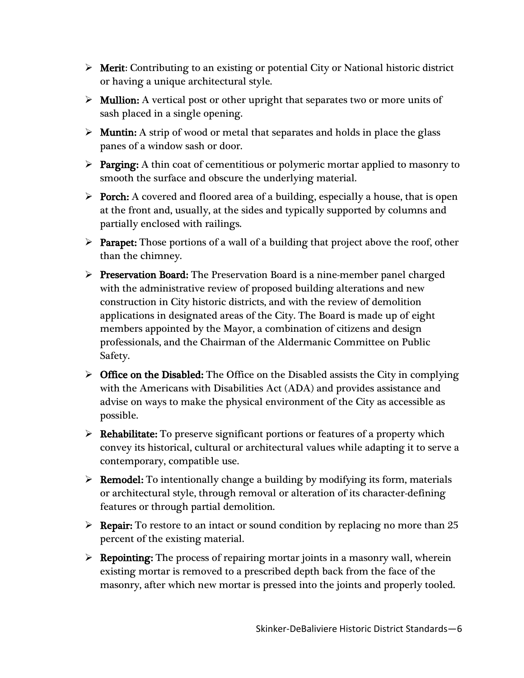- $\triangleright$  Merit: Contributing to an existing or potential City or National historic district or having a unique architectural style.
- $\triangleright$  Mullion: A vertical post or other upright that separates two or more units of sash placed in a single opening.
- $\triangleright$  Muntin: A strip of wood or metal that separates and holds in place the glass panes of a window sash or door.
- $\triangleright$  Parging: A thin coat of cementitious or polymeric mortar applied to masonry to smooth the surface and obscure the underlying material.
- $\triangleright$  Porch: A covered and floored area of a building, especially a house, that is open at the front and, usually, at the sides and typically supported by columns and partially enclosed with railings.
- $\triangleright$  **Parapet:** Those portions of a wall of a building that project above the roof, other than the chimney.
- $\triangleright$  Preservation Board: The Preservation Board is a nine-member panel charged with the administrative review of proposed building alterations and new construction in City historic districts, and with the review of demolition applications in designated areas of the City. The Board is made up of eight members appointed by the Mayor, a combination of citizens and design professionals, and the Chairman of the Aldermanic Committee on Public Safety.
- $\triangleright$  Office on the Disabled: The Office on the Disabled assists the City in complying with the Americans with Disabilities Act (ADA) and provides assistance and advise on ways to make the physical environment of the City as accessible as possible.
- $\triangleright$  **Rehabilitate:** To preserve significant portions or features of a property which convey its historical, cultural or architectural values while adapting it to serve a contemporary, compatible use.
- $\triangleright$  **Remodel:** To intentionally change a building by modifying its form, materials or architectural style, through removal or alteration of its character-defining features or through partial demolition.
- $\triangleright$  **Repair:** To restore to an intact or sound condition by replacing no more than 25 percent of the existing material.
- $\triangleright$  **Repointing:** The process of repairing mortar joints in a masonry wall, wherein existing mortar is removed to a prescribed depth back from the face of the masonry, after which new mortar is pressed into the joints and properly tooled.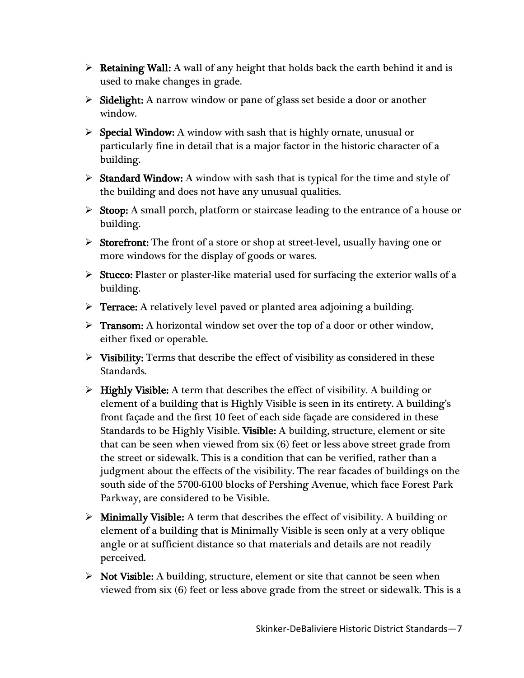- $\triangleright$  **Retaining Wall:** A wall of any height that holds back the earth behind it and is used to make changes in grade.
- $\triangleright$  Sidelight: A narrow window or pane of glass set beside a door or another window.
- $\triangleright$  Special Window: A window with sash that is highly ornate, unusual or particularly fine in detail that is a major factor in the historic character of a building.
- $\triangleright$  Standard Window: A window with sash that is typical for the time and style of the building and does not have any unusual qualities.
- $\triangleright$  Stoop: A small porch, platform or staircase leading to the entrance of a house or building.
- $\triangleright$  Storefront: The front of a store or shop at street-level, usually having one or more windows for the display of goods or wares.
- $\triangleright$  Stucco: Plaster or plaster-like material used for surfacing the exterior walls of a building.
- $\triangleright$  Terrace: A relatively level paved or planted area adjoining a building.
- $\triangleright$  Transom: A horizontal window set over the top of a door or other window, either fixed or operable.
- $\triangleright$  Visibility: Terms that describe the effect of visibility as considered in these Standards.
- $\triangleright$  Highly Visible: A term that describes the effect of visibility. A building or element of a building that is Highly Visible is seen in its entirety. A building's front façade and the first 10 feet of each side façade are considered in these Standards to be Highly Visible. Visible: A building, structure, element or site that can be seen when viewed from six (6) feet or less above street grade from the street or sidewalk. This is a condition that can be verified, rather than a judgment about the effects of the visibility. The rear facades of buildings on the south side of the 5700-6100 blocks of Pershing Avenue, which face Forest Park Parkway, are considered to be Visible.
- $\triangleright$  Minimally Visible: A term that describes the effect of visibility. A building or element of a building that is Minimally Visible is seen only at a very oblique angle or at sufficient distance so that materials and details are not readily perceived.
- $\triangleright$  Not Visible: A building, structure, element or site that cannot be seen when viewed from six (6) feet or less above grade from the street or sidewalk. This is a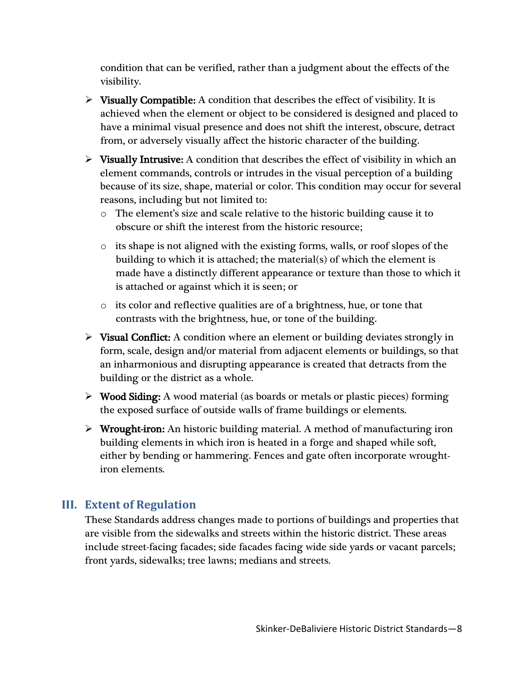condition that can be verified, rather than a judgment about the effects of the visibility.

- $\triangleright$  Visually Compatible: A condition that describes the effect of visibility. It is achieved when the element or object to be considered is designed and placed to have a minimal visual presence and does not shift the interest, obscure, detract from, or adversely visually affect the historic character of the building.
- $\triangleright$  Visually Intrusive: A condition that describes the effect of visibility in which an element commands, controls or intrudes in the visual perception of a building because of its size, shape, material or color. This condition may occur for several reasons, including but not limited to:
	- o The element's size and scale relative to the historic building cause it to obscure or shift the interest from the historic resource;
	- $\circ$  its shape is not aligned with the existing forms, walls, or roof slopes of the building to which it is attached; the material(s) of which the element is made have a distinctly different appearance or texture than those to which it is attached or against which it is seen; or
	- o its color and reflective qualities are of a brightness, hue, or tone that contrasts with the brightness, hue, or tone of the building.
- $\triangleright$  Visual Conflict: A condition where an element or building deviates strongly in form, scale, design and/or material from adjacent elements or buildings, so that an inharmonious and disrupting appearance is created that detracts from the building or the district as a whole.
- $\triangleright$  Wood Siding: A wood material (as boards or metals or plastic pieces) forming the exposed surface of outside walls of frame buildings or elements.
- $\triangleright$  Wrought-iron: An historic building material. A method of manufacturing iron building elements in which iron is heated in a forge and shaped while soft, either by bending or hammering. Fences and gate often incorporate wroughtiron elements.

# **III. Extent of Regulation**

These Standards address changes made to portions of buildings and properties that are visible from the sidewalks and streets within the historic district. These areas include street-facing facades; side facades facing wide side yards or vacant parcels; front yards, sidewalks; tree lawns; medians and streets.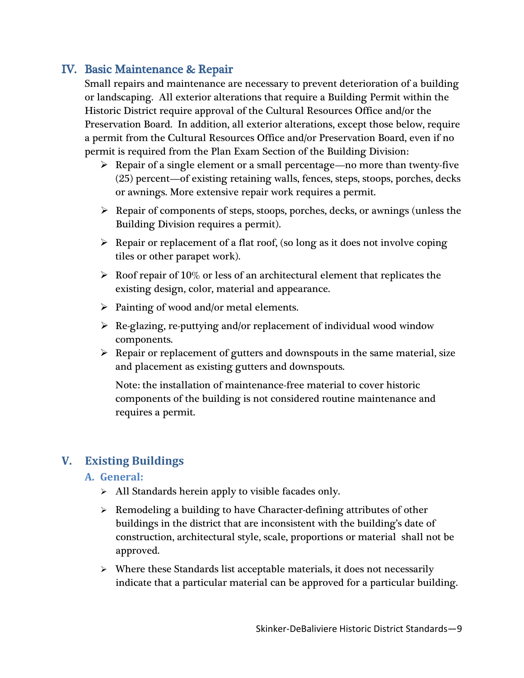# IV. Basic Maintenance & Repair

Small repairs and maintenance are necessary to prevent deterioration of a building or landscaping. All exterior alterations that require a Building Permit within the Historic District require approval of the Cultural Resources Office and/or the Preservation Board. In addition, all exterior alterations, except those below, require a permit from the Cultural Resources Office and/or Preservation Board, even if no permit is required from the Plan Exam Section of the Building Division:

- $\triangleright$  Repair of a single element or a small percentage—no more than twenty-five (25) percent—of existing retaining walls, fences, steps, stoops, porches, decks or awnings. More extensive repair work requires a permit.
- $\triangleright$  Repair of components of steps, stoops, porches, decks, or awnings (unless the Building Division requires a permit).
- $\triangleright$  Repair or replacement of a flat roof, (so long as it does not involve coping tiles or other parapet work).
- $\triangleright$  Roof repair of 10% or less of an architectural element that replicates the existing design, color, material and appearance.
- $\triangleright$  Painting of wood and/or metal elements.
- $\triangleright$  Re-glazing, re-puttying and/or replacement of individual wood window components.
- $\triangleright$  Repair or replacement of gutters and downspouts in the same material, size and placement as existing gutters and downspouts.

Note: the installation of maintenance-free material to cover historic components of the building is not considered routine maintenance and requires a permit.

# **V. Existing Buildings**

## **A. General:**

- $\triangleright$  All Standards herein apply to visible facades only.
- $\triangleright$  Remodeling a building to have Character-defining attributes of other buildings in the district that are inconsistent with the building's date of construction, architectural style, scale, proportions or material shall not be approved.
- $\triangleright$  Where these Standards list acceptable materials, it does not necessarily indicate that a particular material can be approved for a particular building.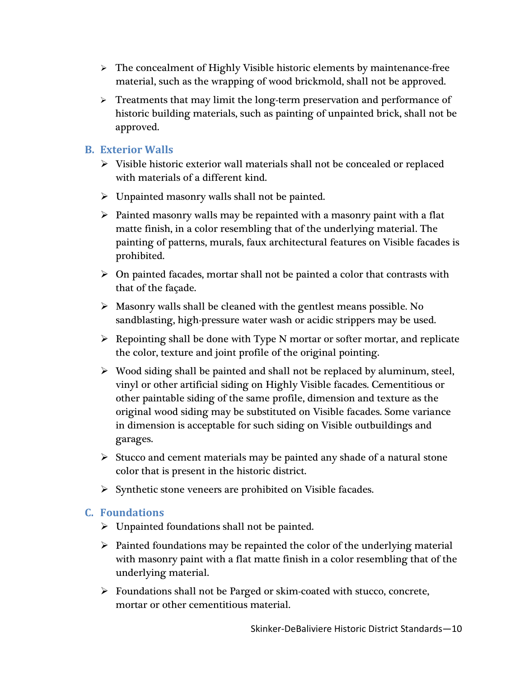- $\triangleright$  The concealment of Highly Visible historic elements by maintenance-free material, such as the wrapping of wood brickmold, shall not be approved.
- > Treatments that may limit the long-term preservation and performance of historic building materials, such as painting of unpainted brick, shall not be approved.

#### **B. Exterior Walls**

- $\triangleright$  Visible historic exterior wall materials shall not be concealed or replaced with materials of a different kind.
- $\triangleright$  Unpainted masonry walls shall not be painted.
- $\triangleright$  Painted masonry walls may be repainted with a masonry paint with a flat matte finish, in a color resembling that of the underlying material. The painting of patterns, murals, faux architectural features on Visible facades is prohibited.
- $\triangleright$  On painted facades, mortar shall not be painted a color that contrasts with that of the façade.
- $\triangleright$  Masonry walls shall be cleaned with the gentlest means possible. No sandblasting, high-pressure water wash or acidic strippers may be used.
- $\triangleright$  Repointing shall be done with Type N mortar or softer mortar, and replicate the color, texture and joint profile of the original pointing.
- $\triangleright$  Wood siding shall be painted and shall not be replaced by aluminum, steel, vinyl or other artificial siding on Highly Visible facades. Cementitious or other paintable siding of the same profile, dimension and texture as the original wood siding may be substituted on Visible facades. Some variance in dimension is acceptable for such siding on Visible outbuildings and garages.
- $\triangleright$  Stucco and cement materials may be painted any shade of a natural stone color that is present in the historic district.
- $\triangleright$  Synthetic stone veneers are prohibited on Visible facades.

## **C. Foundations**

- $\triangleright$  Unpainted foundations shall not be painted.
- $\triangleright$  Painted foundations may be repainted the color of the underlying material with masonry paint with a flat matte finish in a color resembling that of the underlying material.
- $\triangleright$  Foundations shall not be Parged or skim-coated with stucco, concrete, mortar or other cementitious material.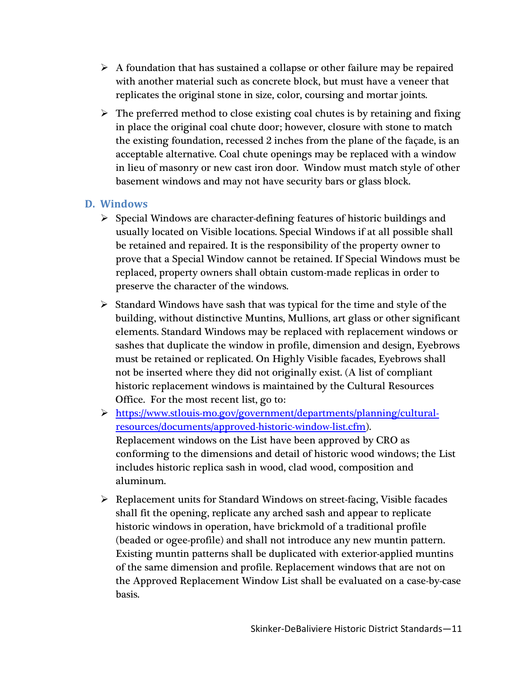- $\triangleright$  A foundation that has sustained a collapse or other failure may be repaired with another material such as concrete block, but must have a veneer that replicates the original stone in size, color, coursing and mortar joints.
- $\triangleright$  The preferred method to close existing coal chutes is by retaining and fixing in place the original coal chute door; however, closure with stone to match the existing foundation, recessed 2 inches from the plane of the façade, is an acceptable alternative. Coal chute openings may be replaced with a window in lieu of masonry or new cast iron door. Window must match style of other basement windows and may not have security bars or glass block.

#### **D. Windows**

- $\triangleright$  Special Windows are character-defining features of historic buildings and usually located on Visible locations. Special Windows if at all possible shall be retained and repaired. It is the responsibility of the property owner to prove that a Special Window cannot be retained. If Special Windows must be replaced, property owners shall obtain custom-made replicas in order to preserve the character of the windows.
- $\triangleright$  Standard Windows have sash that was typical for the time and style of the building, without distinctive Muntins, Mullions, art glass or other significant elements. Standard Windows may be replaced with replacement windows or sashes that duplicate the window in profile, dimension and design, Eyebrows must be retained or replicated. On Highly Visible facades, Eyebrows shall not be inserted where they did not originally exist. (A list of compliant historic replacement windows is maintained by the Cultural Resources Office. For the most recent list, go to:
- [https://www.stlouis-mo.gov/government/departments/planning/cultural](https://www.stlouis-mo.gov/government/departments/planning/cultural-resources/documents/approved-historic-window-list.cfm)[resources/documents/approved-historic-window-list.cfm\)](https://www.stlouis-mo.gov/government/departments/planning/cultural-resources/documents/approved-historic-window-list.cfm). Replacement windows on the List have been approved by CRO as conforming to the dimensions and detail of historic wood windows; the List includes historic replica sash in wood, clad wood, composition and aluminum.
- $\triangleright$  Replacement units for Standard Windows on street-facing, Visible facades shall fit the opening, replicate any arched sash and appear to replicate historic windows in operation, have brickmold of a traditional profile (beaded or ogee-profile) and shall not introduce any new muntin pattern. Existing muntin patterns shall be duplicated with exterior-applied muntins of the same dimension and profile. Replacement windows that are not on the Approved Replacement Window List shall be evaluated on a case-by-case basis.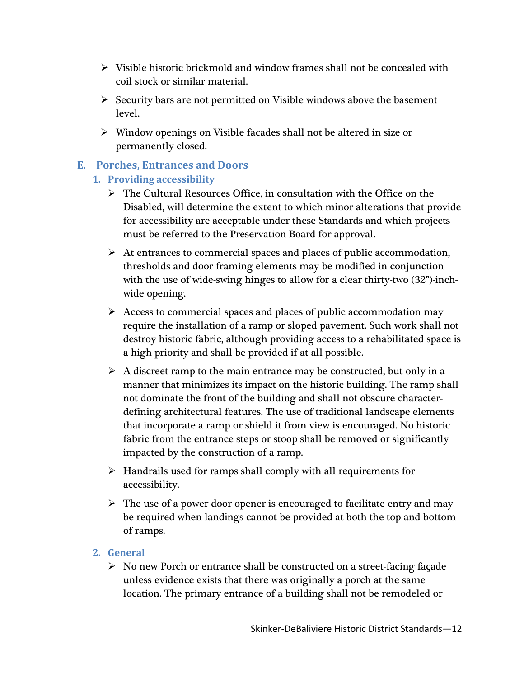- $\triangleright$  Visible historic brickmold and window frames shall not be concealed with coil stock or similar material.
- $\triangleright$  Security bars are not permitted on Visible windows above the basement level.
- $\triangleright$  Window openings on Visible facades shall not be altered in size or permanently closed.

## **E. Porches, Entrances and Doors**

- **1. Providing accessibility**
	- $\triangleright$  The Cultural Resources Office, in consultation with the Office on the Disabled, will determine the extent to which minor alterations that provide for accessibility are acceptable under these Standards and which projects must be referred to the Preservation Board for approval.
	- $\triangleright$  At entrances to commercial spaces and places of public accommodation, thresholds and door framing elements may be modified in conjunction with the use of wide-swing hinges to allow for a clear thirty-two  $(32)$ -inchwide opening.
	- $\triangleright$  Access to commercial spaces and places of public accommodation may require the installation of a ramp or sloped pavement. Such work shall not destroy historic fabric, although providing access to a rehabilitated space is a high priority and shall be provided if at all possible.
	- $\triangleright$  A discreet ramp to the main entrance may be constructed, but only in a manner that minimizes its impact on the historic building. The ramp shall not dominate the front of the building and shall not obscure characterdefining architectural features. The use of traditional landscape elements that incorporate a ramp or shield it from view is encouraged. No historic fabric from the entrance steps or stoop shall be removed or significantly impacted by the construction of a ramp.
	- $\triangleright$  Handrails used for ramps shall comply with all requirements for accessibility.
	- $\triangleright$  The use of a power door opener is encouraged to facilitate entry and may be required when landings cannot be provided at both the top and bottom of ramps.

#### **2. General**

 $\triangleright$  No new Porch or entrance shall be constructed on a street-facing façade unless evidence exists that there was originally a porch at the same location. The primary entrance of a building shall not be remodeled or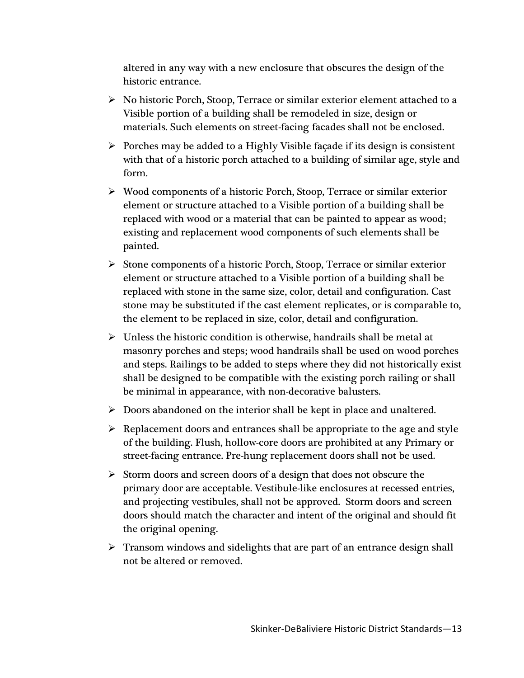altered in any way with a new enclosure that obscures the design of the historic entrance.

- $\triangleright$  No historic Porch, Stoop, Terrace or similar exterior element attached to a Visible portion of a building shall be remodeled in size, design or materials. Such elements on street-facing facades shall not be enclosed.
- $\triangleright$  Porches may be added to a Highly Visible façade if its design is consistent with that of a historic porch attached to a building of similar age, style and form.
- Wood components of a historic Porch, Stoop, Terrace or similar exterior element or structure attached to a Visible portion of a building shall be replaced with wood or a material that can be painted to appear as wood; existing and replacement wood components of such elements shall be painted.
- $\triangleright$  Stone components of a historic Porch, Stoop, Terrace or similar exterior element or structure attached to a Visible portion of a building shall be replaced with stone in the same size, color, detail and configuration. Cast stone may be substituted if the cast element replicates, or is comparable to, the element to be replaced in size, color, detail and configuration.
- $\triangleright$  Unless the historic condition is otherwise, handrails shall be metal at masonry porches and steps; wood handrails shall be used on wood porches and steps. Railings to be added to steps where they did not historically exist shall be designed to be compatible with the existing porch railing or shall be minimal in appearance, with non-decorative balusters.
- $\triangleright$  Doors abandoned on the interior shall be kept in place and unaltered.
- $\triangleright$  Replacement doors and entrances shall be appropriate to the age and style of the building. Flush, hollow-core doors are prohibited at any Primary or street-facing entrance. Pre-hung replacement doors shall not be used.
- $\triangleright$  Storm doors and screen doors of a design that does not obscure the primary door are acceptable. Vestibule-like enclosures at recessed entries, and projecting vestibules, shall not be approved. Storm doors and screen doors should match the character and intent of the original and should fit the original opening.
- $\triangleright$  Transom windows and sidelights that are part of an entrance design shall not be altered or removed.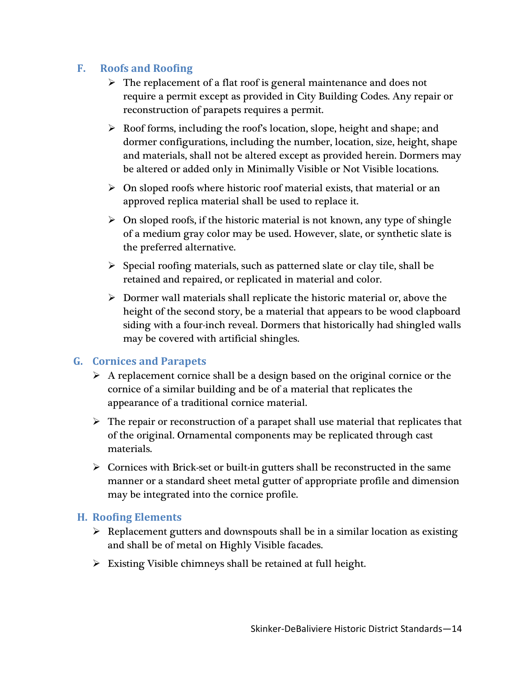## **F. Roofs and Roofing**

- $\triangleright$  The replacement of a flat roof is general maintenance and does not require a permit except as provided in City Building Codes. Any repair or reconstruction of parapets requires a permit.
- $\triangleright$  Roof forms, including the roof's location, slope, height and shape; and dormer configurations, including the number, location, size, height, shape and materials, shall not be altered except as provided herein. Dormers may be altered or added only in Minimally Visible or Not Visible locations.
- $\triangleright$  On sloped roofs where historic roof material exists, that material or an approved replica material shall be used to replace it.
- $\triangleright$  On sloped roofs, if the historic material is not known, any type of shingle of a medium gray color may be used. However, slate, or synthetic slate is the preferred alternative.
- $\triangleright$  Special roofing materials, such as patterned slate or clay tile, shall be retained and repaired, or replicated in material and color.
- $\triangleright$  Dormer wall materials shall replicate the historic material or, above the height of the second story, be a material that appears to be wood clapboard siding with a four-inch reveal. Dormers that historically had shingled walls may be covered with artificial shingles.

#### **G. Cornices and Parapets**

- $\triangleright$  A replacement cornice shall be a design based on the original cornice or the cornice of a similar building and be of a material that replicates the appearance of a traditional cornice material.
- $\triangleright$  The repair or reconstruction of a parapet shall use material that replicates that of the original. Ornamental components may be replicated through cast materials.
- $\triangleright$  Cornices with Brick-set or built-in gutters shall be reconstructed in the same manner or a standard sheet metal gutter of appropriate profile and dimension may be integrated into the cornice profile.

#### **H. Roofing Elements**

- $\triangleright$  Replacement gutters and downspouts shall be in a similar location as existing and shall be of metal on Highly Visible facades.
- $\triangleright$  Existing Visible chimneys shall be retained at full height.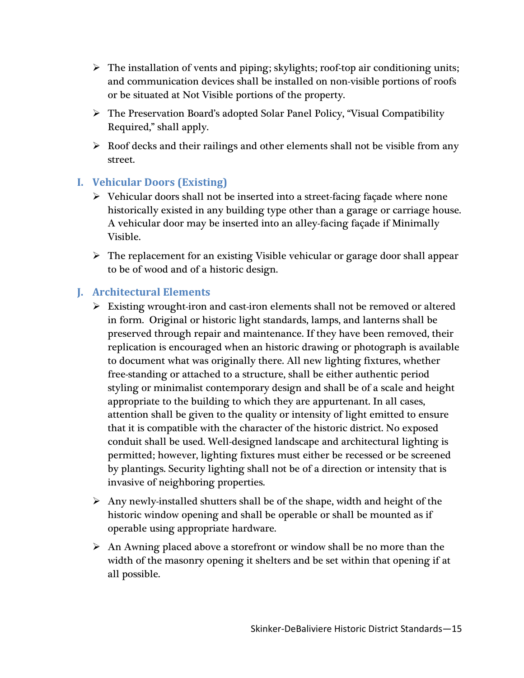- $\triangleright$  The installation of vents and piping; skylights; roof-top air conditioning units; and communication devices shall be installed on non-visible portions of roofs or be situated at Not Visible portions of the property.
- The Preservation Board's adopted Solar Panel Policy, "Visual Compatibility Required," shall apply.
- $\triangleright$  Roof decks and their railings and other elements shall not be visible from any street.

## **I. Vehicular Doors (Existing)**

- $\triangleright$  Vehicular doors shall not be inserted into a street-facing façade where none historically existed in any building type other than a garage or carriage house. A vehicular door may be inserted into an alley-facing façade if Minimally Visible.
- $\triangleright$  The replacement for an existing Visible vehicular or garage door shall appear to be of wood and of a historic design.

#### **J. Architectural Elements**

- $\triangleright$  Existing wrought-iron and cast-iron elements shall not be removed or altered in form. Original or historic light standards, lamps, and lanterns shall be preserved through repair and maintenance. If they have been removed, their replication is encouraged when an historic drawing or photograph is available to document what was originally there. All new lighting fixtures, whether free-standing or attached to a structure, shall be either authentic period styling or minimalist contemporary design and shall be of a scale and height appropriate to the building to which they are appurtenant. In all cases, attention shall be given to the quality or intensity of light emitted to ensure that it is compatible with the character of the historic district. No exposed conduit shall be used. Well-designed landscape and architectural lighting is permitted; however, lighting fixtures must either be recessed or be screened by plantings. Security lighting shall not be of a direction or intensity that is invasive of neighboring properties.
- $\triangleright$  Any newly-installed shutters shall be of the shape, width and height of the historic window opening and shall be operable or shall be mounted as if operable using appropriate hardware.
- $\triangleright$  An Awning placed above a storefront or window shall be no more than the width of the masonry opening it shelters and be set within that opening if at all possible.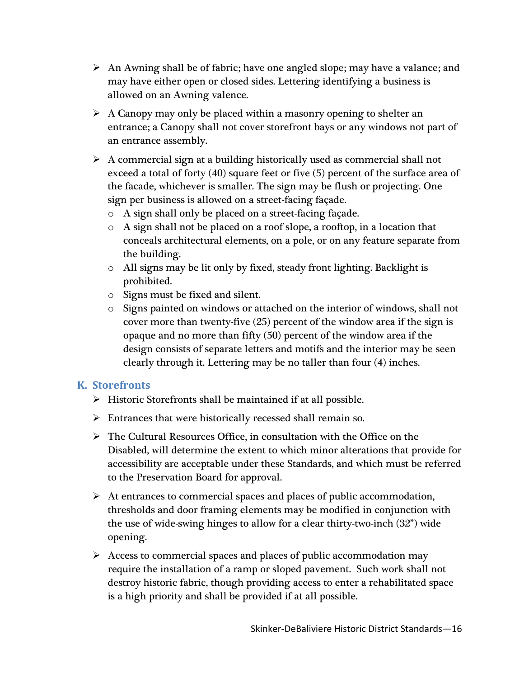- $\triangleright$  An Awning shall be of fabric; have one angled slope; may have a valance; and may have either open or closed sides. Lettering identifying a business is allowed on an Awning valence.
- $\triangleright$  A Canopy may only be placed within a masonry opening to shelter an entrance; a Canopy shall not cover storefront bays or any windows not part of an entrance assembly.
- $\triangleright$  A commercial sign at a building historically used as commercial shall not exceed a total of forty (40) square feet or five (5) percent of the surface area of the facade, whichever is smaller. The sign may be flush or projecting. One sign per business is allowed on a street-facing façade.
	- o A sign shall only be placed on a street-facing façade.
	- $\circ$  A sign shall not be placed on a roof slope, a rooftop, in a location that conceals architectural elements, on a pole, or on any feature separate from the building.
	- o All signs may be lit only by fixed, steady front lighting. Backlight is prohibited.
	- o Signs must be fixed and silent.
	- $\circ$  Signs painted on windows or attached on the interior of windows, shall not cover more than twenty-five (25) percent of the window area if the sign is opaque and no more than fifty (50) percent of the window area if the design consists of separate letters and motifs and the interior may be seen clearly through it. Lettering may be no taller than four (4) inches.

## **K. Storefronts**

- $\triangleright$  Historic Storefronts shall be maintained if at all possible.
- $\triangleright$  Entrances that were historically recessed shall remain so.
- $\triangleright$  The Cultural Resources Office, in consultation with the Office on the Disabled, will determine the extent to which minor alterations that provide for accessibility are acceptable under these Standards, and which must be referred to the Preservation Board for approval.
- $\triangleright$  At entrances to commercial spaces and places of public accommodation, thresholds and door framing elements may be modified in conjunction with the use of wide-swing hinges to allow for a clear thirty-two-inch (32") wide opening.
- $\triangleright$  Access to commercial spaces and places of public accommodation may require the installation of a ramp or sloped pavement. Such work shall not destroy historic fabric, though providing access to enter a rehabilitated space is a high priority and shall be provided if at all possible.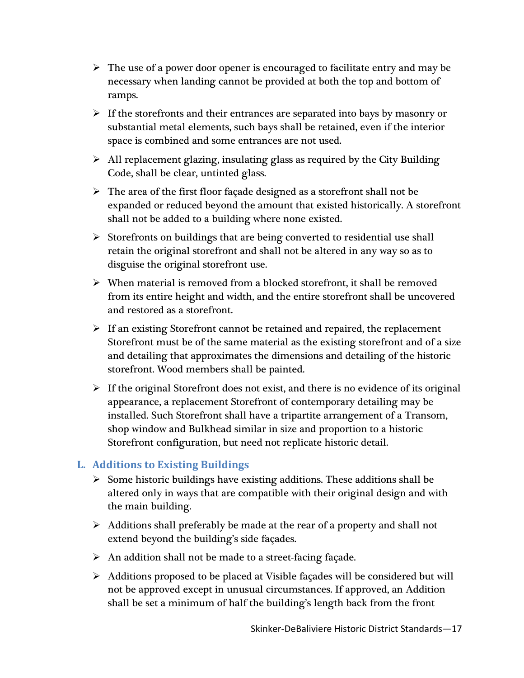- $\triangleright$  The use of a power door opener is encouraged to facilitate entry and may be necessary when landing cannot be provided at both the top and bottom of ramps.
- $\triangleright$  If the storefronts and their entrances are separated into bays by masonry or substantial metal elements, such bays shall be retained, even if the interior space is combined and some entrances are not used.
- $\triangleright$  All replacement glazing, insulating glass as required by the City Building Code, shall be clear, untinted glass.
- $\triangleright$  The area of the first floor façade designed as a storefront shall not be expanded or reduced beyond the amount that existed historically. A storefront shall not be added to a building where none existed.
- $\triangleright$  Storefronts on buildings that are being converted to residential use shall retain the original storefront and shall not be altered in any way so as to disguise the original storefront use.
- $\triangleright$  When material is removed from a blocked storefront, it shall be removed from its entire height and width, and the entire storefront shall be uncovered and restored as a storefront.
- $\triangleright$  If an existing Storefront cannot be retained and repaired, the replacement Storefront must be of the same material as the existing storefront and of a size and detailing that approximates the dimensions and detailing of the historic storefront. Wood members shall be painted.
- $\triangleright$  If the original Storefront does not exist, and there is no evidence of its original appearance, a replacement Storefront of contemporary detailing may be installed. Such Storefront shall have a tripartite arrangement of a Transom, shop window and Bulkhead similar in size and proportion to a historic Storefront configuration, but need not replicate historic detail.

# **L. Additions to Existing Buildings**

- $\triangleright$  Some historic buildings have existing additions. These additions shall be altered only in ways that are compatible with their original design and with the main building.
- $\triangleright$  Additions shall preferably be made at the rear of a property and shall not extend beyond the building's side façades.
- $\triangleright$  An addition shall not be made to a street-facing façade.
- $\triangleright$  Additions proposed to be placed at Visible façades will be considered but will not be approved except in unusual circumstances. If approved, an Addition shall be set a minimum of half the building's length back from the front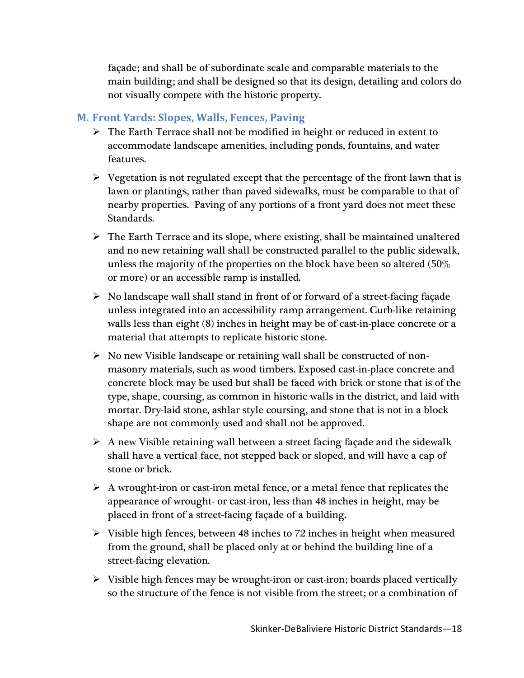façade; and shall be of subordinate scale and comparable materials to the main building; and shall be designed so that its design, detailing and colors do not visually compete with the historic property.

#### **M. Front Yards: Slopes, Walls, Fences, Paving**

- $\triangleright$  The Earth Terrace shall not be modified in height or reduced in extent to accommodate landscape amenities, including ponds, fountains, and water features.
- $\triangleright$  Vegetation is not regulated except that the percentage of the front lawn that is lawn or plantings, rather than paved sidewalks, must be comparable to that of nearby properties. Paving of any portions of a front yard does not meet these Standards.
- $\triangleright$  The Earth Terrace and its slope, where existing, shall be maintained unaltered and no new retaining wall shall be constructed parallel to the public sidewalk, unless the majority of the properties on the block have been so altered (50% or more) or an accessible ramp is installed.
- $\triangleright$  No landscape wall shall stand in front of or forward of a street-facing façade unless integrated into an accessibility ramp arrangement. Curb-like retaining walls less than eight (8) inches in height may be of cast-in-place concrete or a material that attempts to replicate historic stone.
- $\triangleright$  No new Visible landscape or retaining wall shall be constructed of nonmasonry materials, such as wood timbers. Exposed cast-in-place concrete and concrete block may be used but shall be faced with brick or stone that is of the type, shape, coursing, as common in historic walls in the district, and laid with mortar. Dry-laid stone, ashlar style coursing, and stone that is not in a block shape are not commonly used and shall not be approved.
- $\triangleright$  A new Visible retaining wall between a street facing façade and the sidewalk shall have a vertical face, not stepped back or sloped, and will have a cap of stone or brick.
- $\triangleright$  A wrought-iron or cast-iron metal fence, or a metal fence that replicates the appearance of wrought- or cast-iron, less than 48 inches in height, may be placed in front of a street-facing façade of a building.
- $\triangleright$  Visible high fences, between 48 inches to 72 inches in height when measured from the ground, shall be placed only at or behind the building line of a street-facing elevation.
- $\triangleright$  Visible high fences may be wrought-iron or cast-iron; boards placed vertically so the structure of the fence is not visible from the street; or a combination of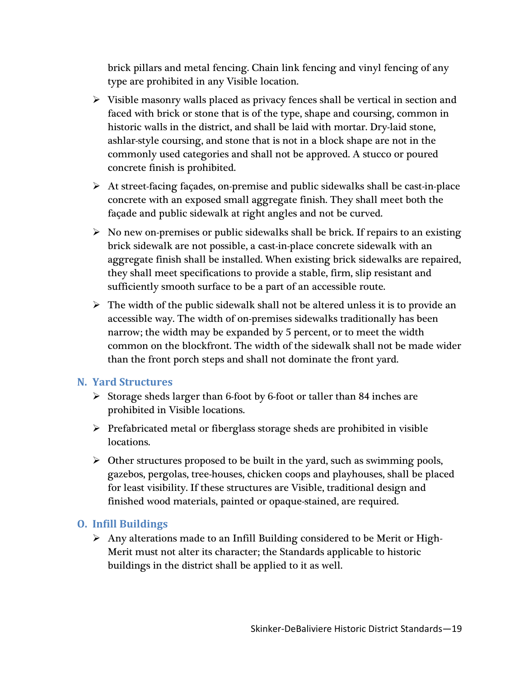brick pillars and metal fencing. Chain link fencing and vinyl fencing of any type are prohibited in any Visible location.

- $\triangleright$  Visible masonry walls placed as privacy fences shall be vertical in section and faced with brick or stone that is of the type, shape and coursing, common in historic walls in the district, and shall be laid with mortar. Dry-laid stone, ashlar-style coursing, and stone that is not in a block shape are not in the commonly used categories and shall not be approved. A stucco or poured concrete finish is prohibited.
- At street-facing façades, on-premise and public sidewalks shall be cast-in-place concrete with an exposed small aggregate finish. They shall meet both the façade and public sidewalk at right angles and not be curved.
- $\triangleright$  No new on-premises or public sidewalks shall be brick. If repairs to an existing brick sidewalk are not possible, a cast-in-place concrete sidewalk with an aggregate finish shall be installed. When existing brick sidewalks are repaired, they shall meet specifications to provide a stable, firm, slip resistant and sufficiently smooth surface to be a part of an accessible route.
- $\triangleright$  The width of the public sidewalk shall not be altered unless it is to provide an accessible way. The width of on-premises sidewalks traditionally has been narrow; the width may be expanded by 5 percent, or to meet the width common on the blockfront. The width of the sidewalk shall not be made wider than the front porch steps and shall not dominate the front yard.

#### **N. Yard Structures**

- $\triangleright$  Storage sheds larger than 6-foot by 6-foot or taller than 84 inches are prohibited in Visible locations.
- $\triangleright$  Prefabricated metal or fiberglass storage sheds are prohibited in visible locations.
- $\triangleright$  Other structures proposed to be built in the yard, such as swimming pools, gazebos, pergolas, tree-houses, chicken coops and playhouses, shall be placed for least visibility. If these structures are Visible, traditional design and finished wood materials, painted or opaque-stained, are required.

## **O. Infill Buildings**

 $\triangleright$  Any alterations made to an Infill Building considered to be Merit or High-Merit must not alter its character; the Standards applicable to historic buildings in the district shall be applied to it as well.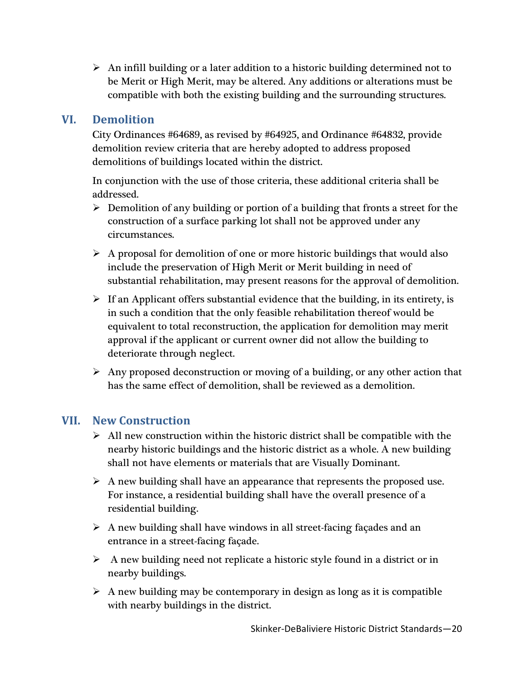$\triangleright$  An infill building or a later addition to a historic building determined not to be Merit or High Merit, may be altered. Any additions or alterations must be compatible with both the existing building and the surrounding structures.

# **VI. Demolition**

City Ordinances #64689, as revised by #64925, and Ordinance #64832, provide demolition review criteria that are hereby adopted to address proposed demolitions of buildings located within the district.

In conjunction with the use of those criteria, these additional criteria shall be addressed.

- $\triangleright$  Demolition of any building or portion of a building that fronts a street for the construction of a surface parking lot shall not be approved under any circumstances.
- $\triangleright$  A proposal for demolition of one or more historic buildings that would also include the preservation of High Merit or Merit building in need of substantial rehabilitation, may present reasons for the approval of demolition.
- $\triangleright$  If an Applicant offers substantial evidence that the building, in its entirety, is in such a condition that the only feasible rehabilitation thereof would be equivalent to total reconstruction, the application for demolition may merit approval if the applicant or current owner did not allow the building to deteriorate through neglect.
- $\triangleright$  Any proposed deconstruction or moving of a building, or any other action that has the same effect of demolition, shall be reviewed as a demolition.

# **VII. New Construction**

- $\triangleright$  All new construction within the historic district shall be compatible with the nearby historic buildings and the historic district as a whole. A new building shall not have elements or materials that are Visually Dominant.
- $\triangleright$  A new building shall have an appearance that represents the proposed use. For instance, a residential building shall have the overall presence of a residential building.
- $\triangleright$  A new building shall have windows in all street-facing façades and an entrance in a street-facing façade.
- $\triangleright$  A new building need not replicate a historic style found in a district or in nearby buildings.
- $\triangleright$  A new building may be contemporary in design as long as it is compatible with nearby buildings in the district.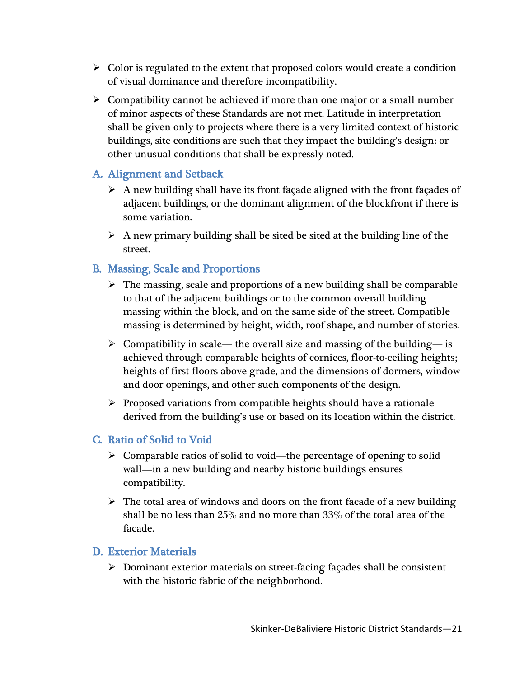- $\triangleright$  Color is regulated to the extent that proposed colors would create a condition of visual dominance and therefore incompatibility.
- $\triangleright$  Compatibility cannot be achieved if more than one major or a small number of minor aspects of these Standards are not met. Latitude in interpretation shall be given only to projects where there is a very limited context of historic buildings, site conditions are such that they impact the building's design: or other unusual conditions that shall be expressly noted.

## A. Alignment and Setback

- $\triangleright$  A new building shall have its front façade aligned with the front façades of adjacent buildings, or the dominant alignment of the blockfront if there is some variation.
- $\triangleright$  A new primary building shall be sited be sited at the building line of the street.

## B. Massing, Scale and Proportions

- $\triangleright$  The massing, scale and proportions of a new building shall be comparable to that of the adjacent buildings or to the common overall building massing within the block, and on the same side of the street. Compatible massing is determined by height, width, roof shape, and number of stories.
- $\triangleright$  Compatibility in scale— the overall size and massing of the building— is achieved through comparable heights of cornices, floor-to-ceiling heights; heights of first floors above grade, and the dimensions of dormers, window and door openings, and other such components of the design.
- $\triangleright$  Proposed variations from compatible heights should have a rationale derived from the building's use or based on its location within the district.

## C. Ratio of Solid to Void

- $\triangleright$  Comparable ratios of solid to void—the percentage of opening to solid wall—in a new building and nearby historic buildings ensures compatibility.
- $\triangleright$  The total area of windows and doors on the front facade of a new building shall be no less than 25% and no more than 33% of the total area of the facade.

## D. Exterior Materials

 $\triangleright$  Dominant exterior materials on street-facing façades shall be consistent with the historic fabric of the neighborhood.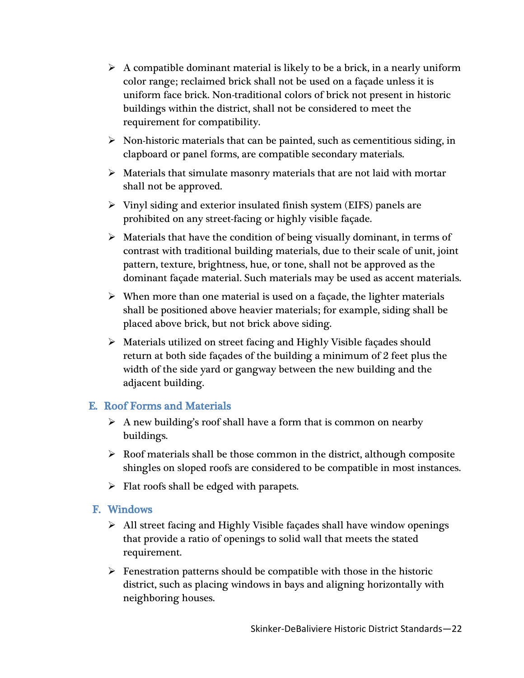- $\triangleright$  A compatible dominant material is likely to be a brick, in a nearly uniform color range; reclaimed brick shall not be used on a façade unless it is uniform face brick. Non-traditional colors of brick not present in historic buildings within the district, shall not be considered to meet the requirement for compatibility.
- $\triangleright$  Non-historic materials that can be painted, such as cementitious siding, in clapboard or panel forms, are compatible secondary materials.
- $\triangleright$  Materials that simulate masonry materials that are not laid with mortar shall not be approved.
- $\triangleright$  Vinyl siding and exterior insulated finish system (EIFS) panels are prohibited on any street-facing or highly visible façade.
- $\triangleright$  Materials that have the condition of being visually dominant, in terms of contrast with traditional building materials, due to their scale of unit, joint pattern, texture, brightness, hue, or tone, shall not be approved as the dominant façade material. Such materials may be used as accent materials.
- $\triangleright$  When more than one material is used on a façade, the lighter materials shall be positioned above heavier materials; for example, siding shall be placed above brick, but not brick above siding.
- Materials utilized on street facing and Highly Visible façades should return at both side façades of the building a minimum of 2 feet plus the width of the side yard or gangway between the new building and the adjacent building.

## E. Roof Forms and Materials

- $\triangleright$  A new building's roof shall have a form that is common on nearby buildings.
- $\triangleright$  Roof materials shall be those common in the district, although composite shingles on sloped roofs are considered to be compatible in most instances.
- $\triangleright$  Flat roofs shall be edged with parapets.

## F. Windows

- $\triangleright$  All street facing and Highly Visible façades shall have window openings that provide a ratio of openings to solid wall that meets the stated requirement.
- $\triangleright$  Fenestration patterns should be compatible with those in the historic district, such as placing windows in bays and aligning horizontally with neighboring houses.